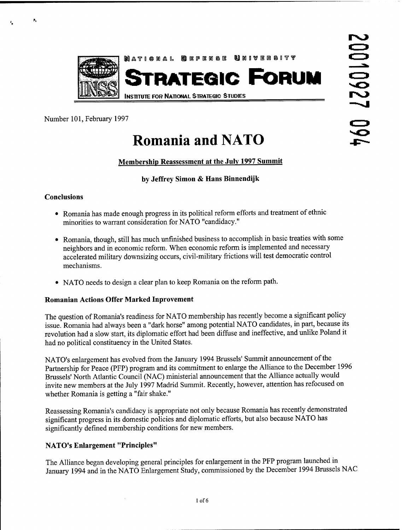

Number 101, February 1997

# **Romania and NATO**

## **Membership Reassessment at the July 1997 Summit**

#### **by Jeffrey Simon & Hans Binnendijk**

#### **Conclusions**

 $\mathbf{P}_k$ 

- Romania has made enough progress in its political reform efforts and treatment of ethnic minorities to warrant consideration for NATO "candidacy."
- Romania, though, still has much unfinished business to accomplish in basic treaties with some neighbors and in economic reform. When economic reform is implemented and necessary accelerated military downsizing occurs, civil-military frictions will test democratic control mechanisms.
- NATO needs to design a clear plan to keep Romania on the reform path.

#### **Romanian Actions Offer Marked Inprovement**

The question of Romania's readiness for NATO membership has recently become a significant policy issue. Romania had always been a "dark horse" among potential NATO candidates, in part, because its revolution had a slow start, its diplomatic effort had been diffuse and ineffective, and unlike Poland it had no political constituency in the United States.

NATO's enlargement has evolved from the January 1994 Brussels' Summit announcement of the Partnership for Peace (PFP) program and its commitment to enlarge the Alliance to the December 1996 Brussels' North Atlantic Council (NAC) ministerial announcement that the Alliance actually would invite new members at the July 1997 Madrid Summit. Recently, however, attention has refocused on whether Romania is getting a "fair shake."

Reassessing Romania's candidacy is appropriate not only because Romania has recently demonstrated significant progress in its domestic policies and diplomatic efforts, but also because NATO has significantly defined membership conditions for new members.

#### **NATO's Enlargement "Principles"**

The Alliance began developing general principles for enlargement in the PFP program launched in January 1994 and in the NATO Enlargement Study, commissioned by the December 1994 Brussels NAC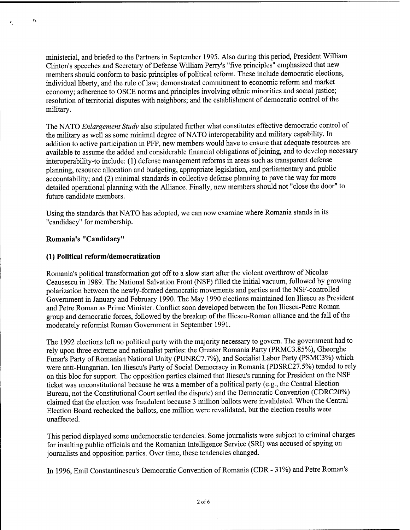ministerial, and briefed to the Partners in September 1995. Also during this period, President William Clinton's speeches and Secretary of Defense William Perry's "five principles" emphasized that new members should conform to basic principles of political reform. These include democratic elections, individual liberty, and the rule of law; demonstrated commitment to economic reform and market economy; adherence to OSCE norms and principles involving ethnic minorities and social justice; resolution of territorial disputes with neighbors; and the establishment of democratic control of the military.

The NATO *Enlargement Study* also stipulated further what constitutes effective democratic control of the military as well as some minimal degree of NATO interoperability and military capability. In addition to active participation in PFP, new members would have to ensure that adequate resources are available to assume the added and considerable financial obligations of joining, and to develop necessary interoperability-to include: (1) defense management reforms in areas such as transparent defense planning, resource allocation and budgeting, appropriate legislation, and parliamentary and public accountability; and (2) minimal standards in collective defense planning to pave the way for more detailed operational planning with the Alliance. Finally, new members should not "close the door" to future candidate members.

Using the standards that NATO has adopted, we can now examine where Romania stands in its "candidacy" for membership.

#### **Romania's "Candidacy"**

 $\mathbf{p}_4$ 

#### **(1) Political reform/democratization**

Romania's political transformation got off to a slow start after the violent overthrow of Nicolae Ceausescu in 1989. The National Salvation Front (NSF) filled the initial vacuum, followed by growing polarization between the newly-formed democratic movements and parties and the NSF-controlled Government in January and February 1990. The May 1990 elections maintained Ion Iliescu as President and Petre Roman as Prime Minister. Conflict soon developed between the Ion Iliescu-Petre Roman group and democratic forces, followed by the breakup of the Iliescu-Roman alliance and the fall of the moderately reformist Roman Government in September 1991.

The 1992 elections left no political party with the majority necessary to govern. The government had to rely upon three extreme and nationalist parties: the Greater Romania Party (PRMC3.85%), Gheorghe Funar's Party of Romanian National Unity (PUNRC7.7%), and Socialist Labor Party (PSMC3%) which were anti-Hungarian. Ion Iliescu's Party of Social Democracy in Romania (PDSRC27.5%) tended to rely on this bloc for support. The opposition parties claimed that Iliescu's running for President on the NSF ticket was unconstitutional because he was a member of a political party (e.g., the Central Election Bureau, not the Constitutional Court settled the dispute) and the Democratic Convention (CDRC20%) claimed that the election was fraudulent because 3 million ballots were invalidated. When the Central Election Board rechecked the ballots, one million were revalidated, but the election results were unaffected.

This period displayed some undemocratic tendencies. Some journalists were subject to criminal charges for insulting public officials and the Romanian Intelligence Service (SRI) was accused of spying on journalists and opposition parties. Over time, these tendencies changed.

In 1996, Emil Constantinescu's Democratic Convention of Romania (CDR - 31%) and Petre Roman's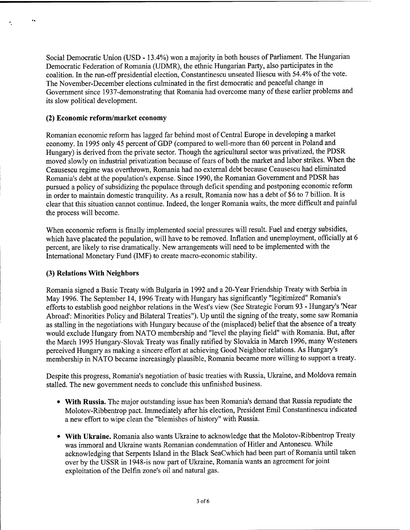Social Democratic Union (USD -13.4%) won a majority in both houses of Parliament. The Hungarian Democratic Federation of Romania (UDMR), the ethnic Hungarian Party, also participates in the coalition. In the run-off presidential election, Constantinescu unseated Iliescu with 54.4% of the vote. The November-December elections culminated in the first democratic and peaceful change in Government since 1937-demonstrating that Romania had overcome many of these earlier problems and its slow political development.

#### **(2) Economic reform/market economy**

 $\ddot{\phantom{a}}$ 

Romanian economic reform has lagged far behind most of Central Europe in developing a market economy. In 1995 only 45 percent of GDP (compared to well-more than 60 percent in Poland and Hungary) is derived from the private sector. Though the agricultural sector was privatized, the PDSR moved slowly on industrial privatization because of fears of both the market and labor strikes. When the Ceausescu regime was overthrown, Romania had no external debt because Ceausescu had eliminated Romania's debt at the population's expense. Since 1990, the Romanian Government and PDSR has pursued a policy of subsidizing the populace through deficit spending and postponing economic reform in order to maintain domestic tranquility. As a result, Romania now has a debt of \$6 to 7 billion. It is clear that this situation cannot continue. Indeed, the longer Romania waits, the more difficult and painful the process will become.

When economic reform is finally implemented social pressures will result. Fuel and energy subsidies, which have placated the population, will have to be removed. Inflation and unemployment, officially at 6 percent, are likely to rise dramatically. New arrangements will need to be implemented with the International Monetary Fund (IMF) to create macro-economic stability.

#### **(3) Relations With Neighbors**

Romania signed a Basic Treaty with Bulgaria in 1992 and a 20-Year Friendship Treaty with Serbia in May 1996. The September 14, 1996 Treaty with Hungary has significantly "legitimized" Romania's efforts to establish good neighbor relations in the West's view (See Strategic Forum 93 - Hungary's 'Near Abroad': Minorities Policy and Bilateral Treaties"). Up until the signing of the treaty, some saw Romania as stalling in the negotiations with Hungary because of the (misplaced) belief that the absence of a treaty would exclude Hungary from NATO membership and "level the playing field" with Romania. But, after the March 1995 Hungary-Slovak Treaty was finally ratified by Slovakia in March 1996, many Westeners perceived Hungary as making a sincere effort at achieving Good Neighbor relations. As Hungary's membership in NATO became increasingly plausible, Romania became more willing to support a treaty.

Despite this progress, Romania's negotiation of basic treaties with Russia, Ukraine, and Moldova remain stalled. The new government needs to conclude this unfinished business.

- **With Russia.** The major outstanding issue has been Romania's demand that Russia repudiate the Molotov-Ribbentrop pact. Immediately after his election, President Emil Constantinescu indicated a new effort to wipe clean the "blemishes of history" with Russia.
- **With Ukraine.** Romania also wants Ukraine to acknowledge that the Molotov-Ribbentrop Treaty was immoral and Ukraine wants Romanian condemnation of Hitler and Antonescu. While acknowledging that Serpents Island in the Black SeaCwhich had been part of Romania until taken over by the USSR in 1948-is now part of Ukraine, Romania wants an agreement for joint exploitation of the Delfin zone's oil and natural gas.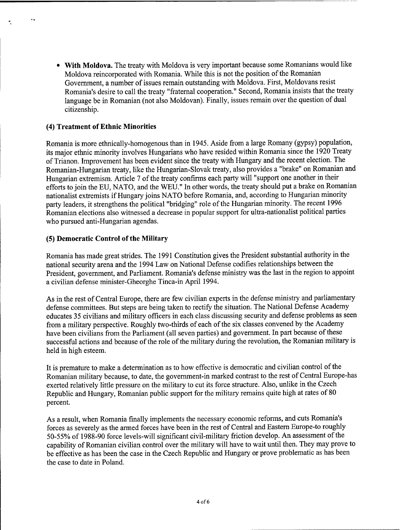**• With Moldova.** The treaty with Moldova is very important because some Romanians would like Moldova reincorporated with Romania. While this is not the position of the Romanian Government, a number of issues remain outstanding with Moldova. First, Moldovans resist Romania's desire to call the treaty "fraternal cooperation." Second, Romania insists that the treaty language be in Romanian (not also Moldovan). Finally, issues remain over the question of dual citizenship.

#### **(4) Treatment ofEthnic Minorities**

 $\ddot{\phantom{a}}$ 

Romania is more ethnically-homogenous than in 1945. Aside from a large Romany (gypsy) population, its major ethnic minority involves Hungarians who have resided within Romania since the 1920 Treaty of Trianon. Improvement has been evident since the treaty with Hungary and the recent election. The Romanian-Hungarian treaty, like the Hungarian-Slovak treaty, also provides a "brake" on Romanian and Hungarian extremism. Article 7 of the treaty confirms each party will "support one another in their efforts to join the EU, NATO, and the WEU." In other words, the treaty should put a brake on Romanian nationalist extremists if Hungary joins NATO before Romania, and, according to Hungarian minority party leaders, it strengthens the political "bridging" role of the Hungarian minority. The recent 1996 Romanian elections also witnessed a decrease in popular support for ultra-nationalist political parties who pursued anti-Hungarian agendas.

#### **(5) Democratic Control ofthe Military**

Romania has made great strides. The 1991 Constitution gives the President substantial authority in the national security arena and the 1994 Law on National Defense codifies relationships between the President, government, and Parliament. Romania's defense ministry was the last in the region to appoint a civilian defense minister-Gheorghe Tinca-in April 1994.

As in the rest of Central Europe, there are few civilian experts in the defense ministry and parliamentary defense committees. But steps are being taken to rectify the situation. The National Defense Academy educates 35 civilians and military officers in each class discussing security and defense problems as seen from a military perspective. Roughly two-thirds of each of the six classes convened by the Academy have been civilians from the Parliament (all seven parties) and government. In part because of these successful actions and because of the role of the military during the revolution, the Romanian military is held in high esteem.

It is premature to make a determination as to how effective is democratic and civilian control of the Romanian military because, to date, the government-in marked contrast to the rest of Central Europe-has exerted relatively little pressure on the military to cut its force structure. Also, unlike in the Czech Republic and Hungary, Romanian public support for the military remains quite high at rates of 80 percent.

As a result, when Romania finally implements the necessary economic reforms, and cuts Romania's forces as severely as the armed forces have been in the rest of Central and Eastern Europe-to roughly 50-55% of 1988-90 force levels-will significant civil-military friction develop. An assessment ofthe capability of Romanian civilian control over the military will have to wait until then. They may prove to be effective as has been the case in the Czech Republic and Hungary or prove problematic as has been the case to date in Poland.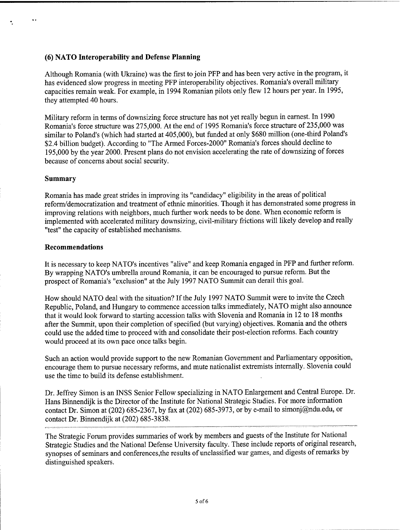#### **(6) NATO Interoperability and Defense Planning**

Although Romania (with Ukraine) was the first to join PFP and has been very active in the program, it has evidenced slow progress in meeting PFP interoperability objectives. Romania's overall military capacities remain weak. For example, in 1994 Romanian pilots only flew 12 hours per year. In 1995, they attempted 40 hours.

Military reform in terms of downsizing force structure has not yet really begun in earnest. In 1990 Romania's force structure was 275,000. At the end of 1995 Romania's force structure of 235,000 was similar to Poland's (which had started at 405,000), but funded at only \$680 million (one-third Poland's \$2.4 billion budget). According to "The Armed Forces-2000" Romania's forces should decline to 195,000 by the year 2000. Present plans do not envision accelerating the rate of downsizing of forces because of concerns about social security.

#### **Summary**

Romania has made great strides in improving its "candidacy" eligibility in the areas of political reform/democratization and treatment of ethnic minorities. Though it has demonstrated some progress in improving relations with neighbors, much further work needs to be done. When economic reform is implemented with accelerated military downsizing, civil-military frictions will likely develop and really "test" the capacity of established mechanisms.

#### **Recommendations**

It is necessary to keep NATO's incentives "alive" and keep Romania engaged in PFP and further reform. By wrapping NATO's umbrella around Romania, it can be encouraged to pursue reform. But the prospect of Romania's "exclusion" at the July 1997 NATO Summit can derail this goal.

How should NATO deal with the situation? If the July 1997 NATO Summit were to invite the Czech Republic, Poland, and Hungary to commence accession talks immediately, NATO might also announce that it would look forward to starting accession talks with Slovenia and Romania in 12 to 18 months after the Summit, upon their completion of specified (but varying) objectives. Romania and the others could use the added time to proceed with and consolidate their post-election reforms. Each country would proceed at its own pace once talks begin.

Such an action would provide support to the new Romanian Government and Parliamentary opposition, encourage them to pursue necessary reforms, and mute nationalist extremists internally. Slovenia could use the time to build its defense establishment.

Dr. Jeffrey Simon is an INSS Senior Fellow specializing in NATO Enlargement and Central Europe. Dr. Hans Binnendijk is the Director of the Institute for National Strategic Studies. For more information contact Dr. Simon at (202) 685-2367, by fax at (202) 685-3973, or by e-mail to simonj@ndu.edu, or contact Dr. Binnendijk at (202) 685-3838.

The Strategic Forum provides summaries of work by members and guests of the Institute for National Strategic Studies and the National Defense University faculty. These include reports of original research, synopses of seminars and conferences,the results of unclassified war games, and digests of remarks by distinguished speakers.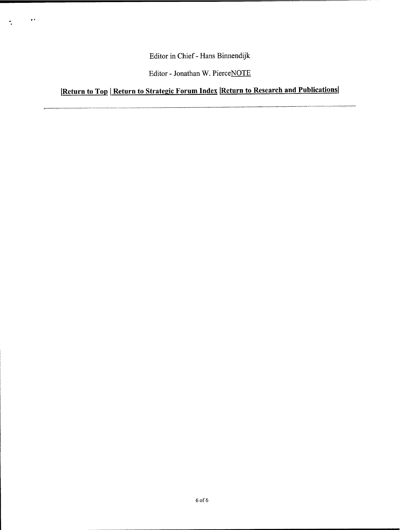Editor in Chief- Hans Binnendijk

 $\ddot{\phantom{0}}$ 

 $\tilde{\mathcal{L}}$ 

Editor - Jonathan W. PierceNOTE

**|Return to Top <sup>I</sup> Return to Strategie Forum Index iReturn to Research and Publications!**